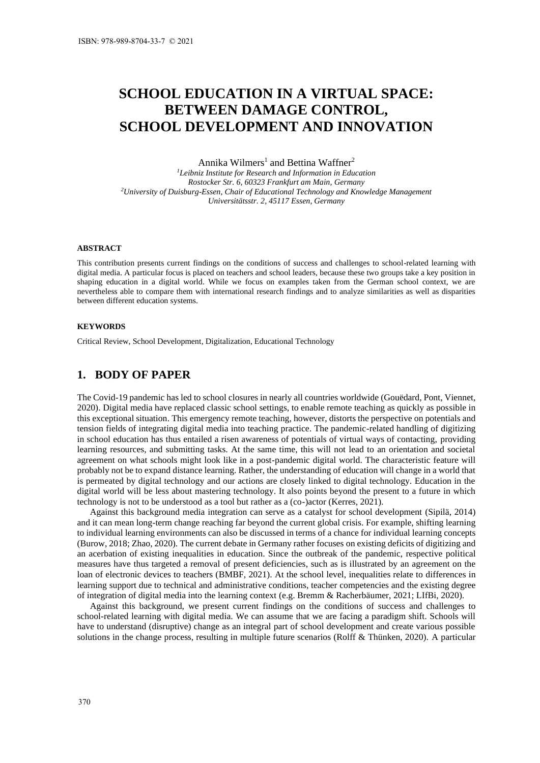# **SCHOOL EDUCATION IN A VIRTUAL SPACE: BETWEEN DAMAGE CONTROL, SCHOOL DEVELOPMENT AND INNOVATION**

Annika Wilmers<sup>1</sup> and Bettina Waffner<sup>2</sup>

*<sup>1</sup>Leibniz Institute for Research and Information in Education Rostocker Str. 6, 60323 Frankfurt am Main, Germany <sup>2</sup>University of Duisburg-Essen, Chair of Educational Technology and Knowledge Management Universitätsstr. 2, 45117 Essen, Germany*

#### **ABSTRACT**

This contribution presents current findings on the conditions of success and challenges to school-related learning with digital media. A particular focus is placed on teachers and school leaders, because these two groups take a key position in shaping education in a digital world. While we focus on examples taken from the German school context, we are nevertheless able to compare them with international research findings and to analyze similarities as well as disparities between different education systems.

#### **KEYWORDS**

Critical Review, School Development, Digitalization, Educational Technology

## **1. BODY OF PAPER**

The Covid-19 pandemic has led to school closures in nearly all countries worldwide (Gouëdard, Pont, Viennet, 2020). Digital media have replaced classic school settings, to enable remote teaching as quickly as possible in this exceptional situation. This emergency remote teaching, however, distorts the perspective on potentials and tension fields of integrating digital media into teaching practice. The pandemic-related handling of digitizing in school education has thus entailed a risen awareness of potentials of virtual ways of contacting, providing learning resources, and submitting tasks. At the same time, this will not lead to an orientation and societal agreement on what schools might look like in a post-pandemic digital world. The characteristic feature will probably not be to expand distance learning. Rather, the understanding of education will change in a world that is permeated by digital technology and our actions are closely linked to digital technology. Education in the digital world will be less about mastering technology. It also points beyond the present to a future in which technology is not to be understood as a tool but rather as a (co-)actor (Kerres, 2021).

Against this background media integration can serve as a catalyst for school development (Sipilä, 2014) and it can mean long-term change reaching far beyond the current global crisis. For example, shifting learning to individual learning environments can also be discussed in terms of a chance for individual learning concepts (Burow, 2018; Zhao, 2020). The current debate in Germany rather focuses on existing deficits of digitizing and an acerbation of existing inequalities in education. Since the outbreak of the pandemic, respective political measures have thus targeted a removal of present deficiencies, such as is illustrated by an agreement on the loan of electronic devices to teachers (BMBF, 2021). At the school level, inequalities relate to differences in learning support due to technical and administrative conditions, teacher competencies and the existing degree of integration of digital media into the learning context (e.g. Bremm & Racherbäumer, 2021; LIfBi, 2020).

Against this background, we present current findings on the conditions of success and challenges to school-related learning with digital media. We can assume that we are facing a paradigm shift. Schools will have to understand (disruptive) change as an integral part of school development and create various possible solutions in the change process, resulting in multiple future scenarios (Rolff & Thünken, 2020). A particular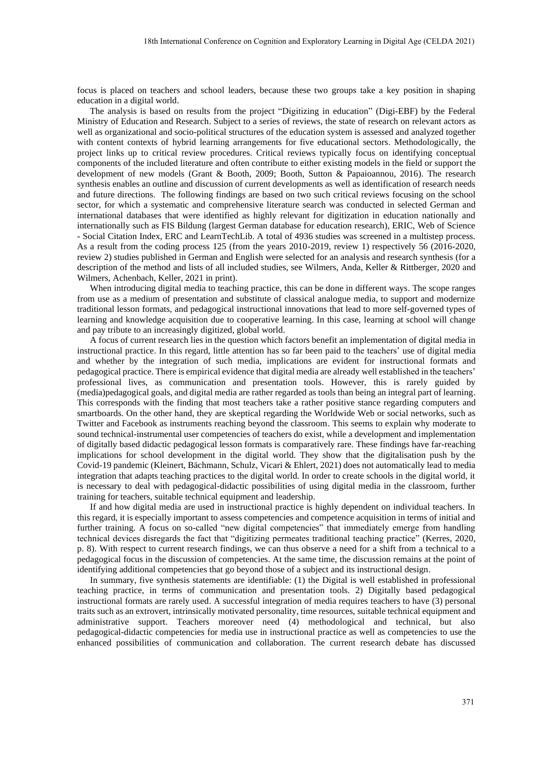focus is placed on teachers and school leaders, because these two groups take a key position in shaping education in a digital world.

The analysis is based on results from the project "Digitizing in education" (Digi-EBF) by the Federal Ministry of Education and Research. Subject to a series of reviews, the state of research on relevant actors as well as organizational and socio-political structures of the education system is assessed and analyzed together with content contexts of hybrid learning arrangements for five educational sectors. Methodologically, the project links up to critical review procedures. Critical reviews typically focus on identifying conceptual components of the included literature and often contribute to either existing models in the field or support the development of new models (Grant & Booth, 2009; Booth, Sutton & Papaioannou, 2016). The research synthesis enables an outline and discussion of current developments as well as identification of research needs and future directions. The following findings are based on two such critical reviews focusing on the school sector, for which a systematic and comprehensive literature search was conducted in selected German and international databases that were identified as highly relevant for digitization in education nationally and internationally such as FIS Bildung (largest German database for education research), ERIC, Web of Science - Social Citation Index, ERC and LearnTechLib. A total of 4936 studies was screened in a multistep process. As a result from the coding process 125 (from the years 2010-2019, review 1) respectively 56 (2016-2020, review 2) studies published in German and English were selected for an analysis and research synthesis (for a description of the method and lists of all included studies, see Wilmers, Anda, Keller & Rittberger, 2020 and Wilmers, Achenbach, Keller, 2021 in print).

When introducing digital media to teaching practice, this can be done in different ways. The scope ranges from use as a medium of presentation and substitute of classical analogue media, to support and modernize traditional lesson formats, and pedagogical instructional innovations that lead to more self-governed types of learning and knowledge acquisition due to cooperative learning. In this case, learning at school will change and pay tribute to an increasingly digitized, global world.

A focus of current research lies in the question which factors benefit an implementation of digital media in instructional practice. In this regard, little attention has so far been paid to the teachers' use of digital media and whether by the integration of such media, implications are evident for instructional formats and pedagogical practice. There is empirical evidence that digital media are already well established in the teachers' professional lives, as communication and presentation tools. However, this is rarely guided by (media)pedagogical goals, and digital media are rather regarded as tools than being an integral part of learning. This corresponds with the finding that most teachers take a rather positive stance regarding computers and smartboards. On the other hand, they are skeptical regarding the Worldwide Web or social networks, such as Twitter and Facebook as instruments reaching beyond the classroom. This seems to explain why moderate to sound technical-instrumental user competencies of teachers do exist, while a development and implementation of digitally based didactic pedagogical lesson formats is comparatively rare. These findings have far-reaching implications for school development in the digital world. They show that the digitalisation push by the Covid-19 pandemic (Kleinert, Bächmann, Schulz, Vicari & Ehlert, 2021) does not automatically lead to media integration that adapts teaching practices to the digital world. In order to create schools in the digital world, it is necessary to deal with pedagogical-didactic possibilities of using digital media in the classroom, further training for teachers, suitable technical equipment and leadership.

If and how digital media are used in instructional practice is highly dependent on individual teachers. In this regard, it is especially important to assess competencies and competence acquisition in terms of initial and further training. A focus on so-called "new digital competencies" that immediately emerge from handling technical devices disregards the fact that "digitizing permeates traditional teaching practice" (Kerres, 2020, p. 8). With respect to current research findings, we can thus observe a need for a shift from a technical to a pedagogical focus in the discussion of competencies. At the same time, the discussion remains at the point of identifying additional competencies that go beyond those of a subject and its instructional design.

In summary, five synthesis statements are identifiable: (1) the Digital is well established in professional teaching practice, in terms of communication and presentation tools. 2) Digitally based pedagogical instructional formats are rarely used. A successful integration of media requires teachers to have (3) personal traits such as an extrovert, intrinsically motivated personality, time resources, suitable technical equipment and administrative support. Teachers moreover need (4) methodological and technical, but also pedagogical-didactic competencies for media use in instructional practice as well as competencies to use the enhanced possibilities of communication and collaboration. The current research debate has discussed